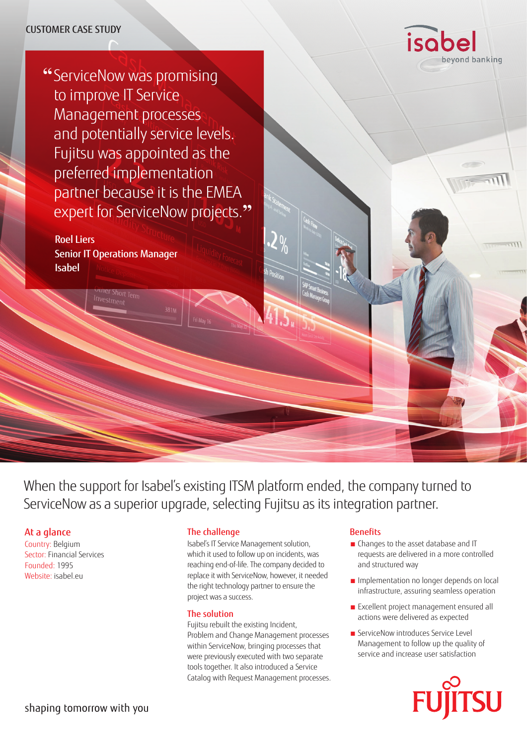**"** ServiceNow was promising to improve IT Service Management processes and potentially service levels. Fujitsu was appointed as the preferred implementation partner because it is the EMEA expert for ServiceNow projects.**"**

Roel Liers Senior IT Operations Manager Isabel

When the support for Isabel's existing ITSM platform ended, the company turned to ServiceNow as a superior upgrade, selecting Fujitsu as its integration partner.

 $\mathcal{Q}_{\%}$ 

## At a glance

Country: Belgium Sector: Financial Services Founded: 1995 Website: [isabel.eu](https://www.isabel.eu/en.html)

## The challenge

Isabel's IT Service Management solution, which it used to follow up on incidents, was reaching end-of-life. The company decided to replace it with ServiceNow, however, it needed the right technology partner to ensure the project was a success.

### The solution

Fujitsu rebuilt the existing Incident, Problem and Change Management processes within ServiceNow, bringing processes that were previously executed with two separate tools together. It also introduced a Service Catalog with Request Management processes.

### **Benefits**

■ Changes to the asset database and IT requests are delivered in a more controlled and structured way

isabe

**peyond banking** 

- Implementation no longer depends on local infrastructure, assuring seamless operation
- Excellent project management ensured all actions were delivered as expected
- ServiceNow introduces Service Level Management to follow up the quality of service and increase user satisfaction